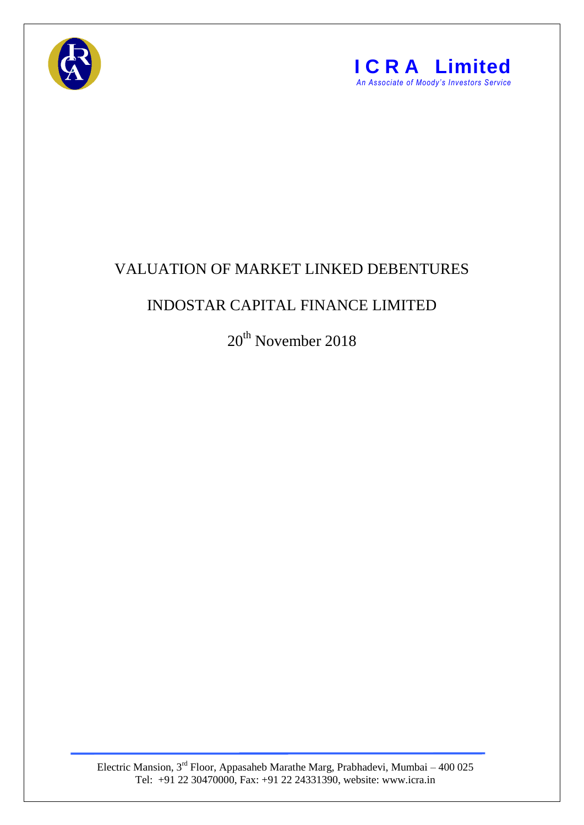



## VALUATION OF MARKET LINKED DEBENTURES

## INDOSTAR CAPITAL FINANCE LIMITED

20<sup>th</sup> November 2018